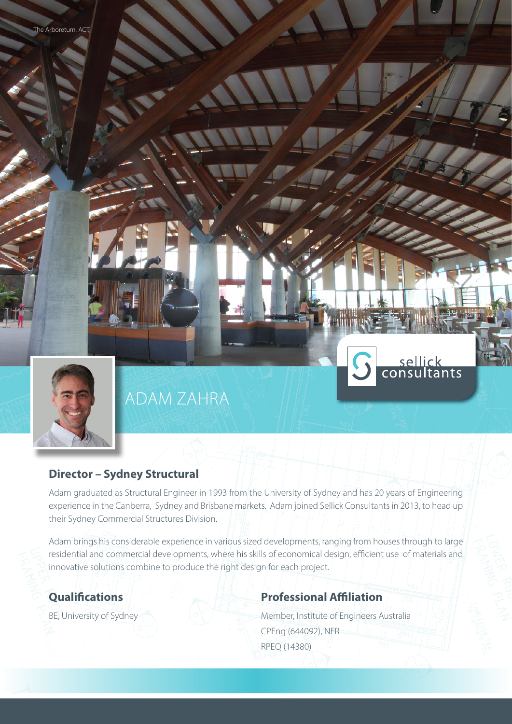

# ADAM ZAHRA

## **Director – Sydney Structural**

Adam graduated as Structural Engineer in 1993 from the University of Sydney and has 20 years of Engineering experience in the Canberra, Sydney and Brisbane markets. Adam joined Sellick Consultants in 2013, to head up their Sydney Commercial Structures Division.

Adam brings his considerable experience in various sized developments, ranging from houses through to large residential and commercial developments, where his skills of economical design, efficient use of materials and innovative solutions combine to produce the right design for each project.

# **Qualifications**

BE, University of Sydney

# **Professional Affiliation**

Member, Institute of Engineers Australia CPEng (644092), NER RPEQ (14380)

sellick<br>consultants